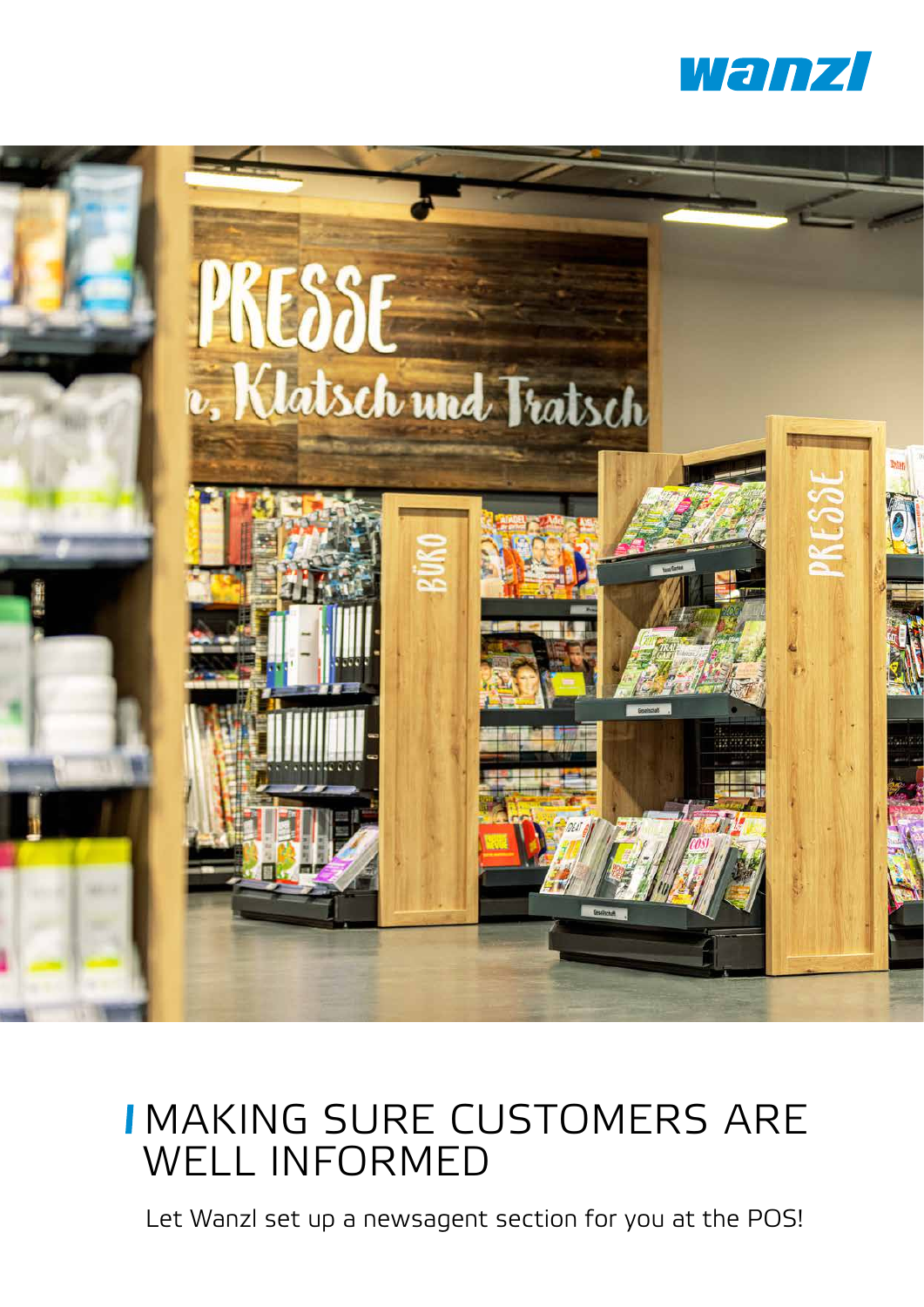



## MAKING SURE CUSTOMERS ARE WELL INFORMED

Let Wanzl set up a newsagent section for you at the POS!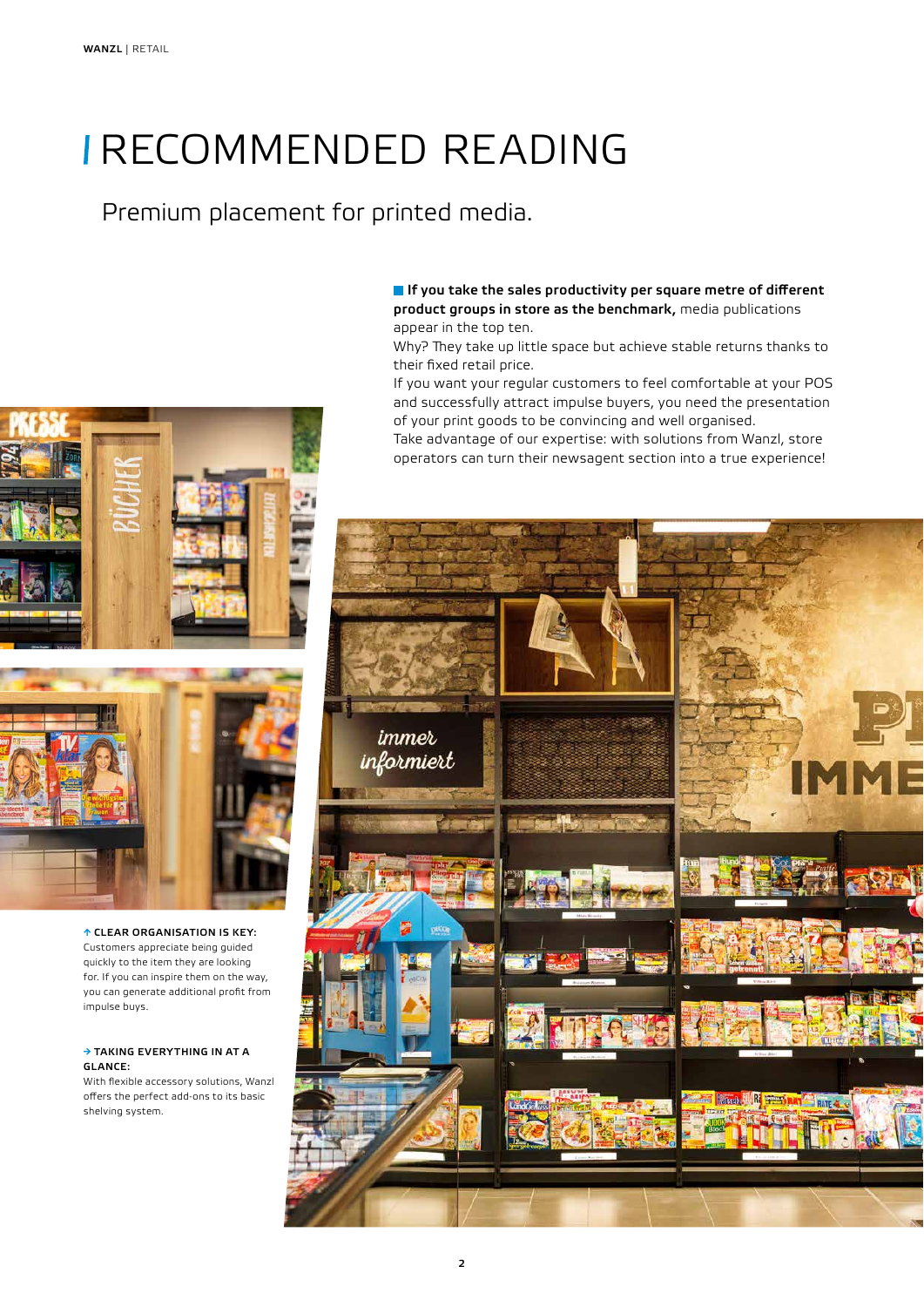# RECOMMENDED READING

## Premium placement for printed media.

**If** you take the sales productivity per square metre of different product groups in store as the benchmark, media publications appear in the top ten.

Why? They take up little space but achieve stable returns thanks to their fixed retail price.

If you want your regular customers to feel comfortable at your POS and successfully attract impulse buyers, you need the presentation of your print goods to be convincing and well organised.

Take advantage of our expertise: with solutions from Wanzl, store operators can turn their newsagent section into a true experience!







↑ CLEAR ORGANISATION IS KEY: Customers appreciate being guided quickly to the item they are looking for. If you can inspire them on the way, you can generate additional profit from impulse buys.

#### → TAKING EVERYTHING IN AT A GLANCE:

With flexible accessory solutions, Wanzl offers the perfect add-ons to its basic shelving system.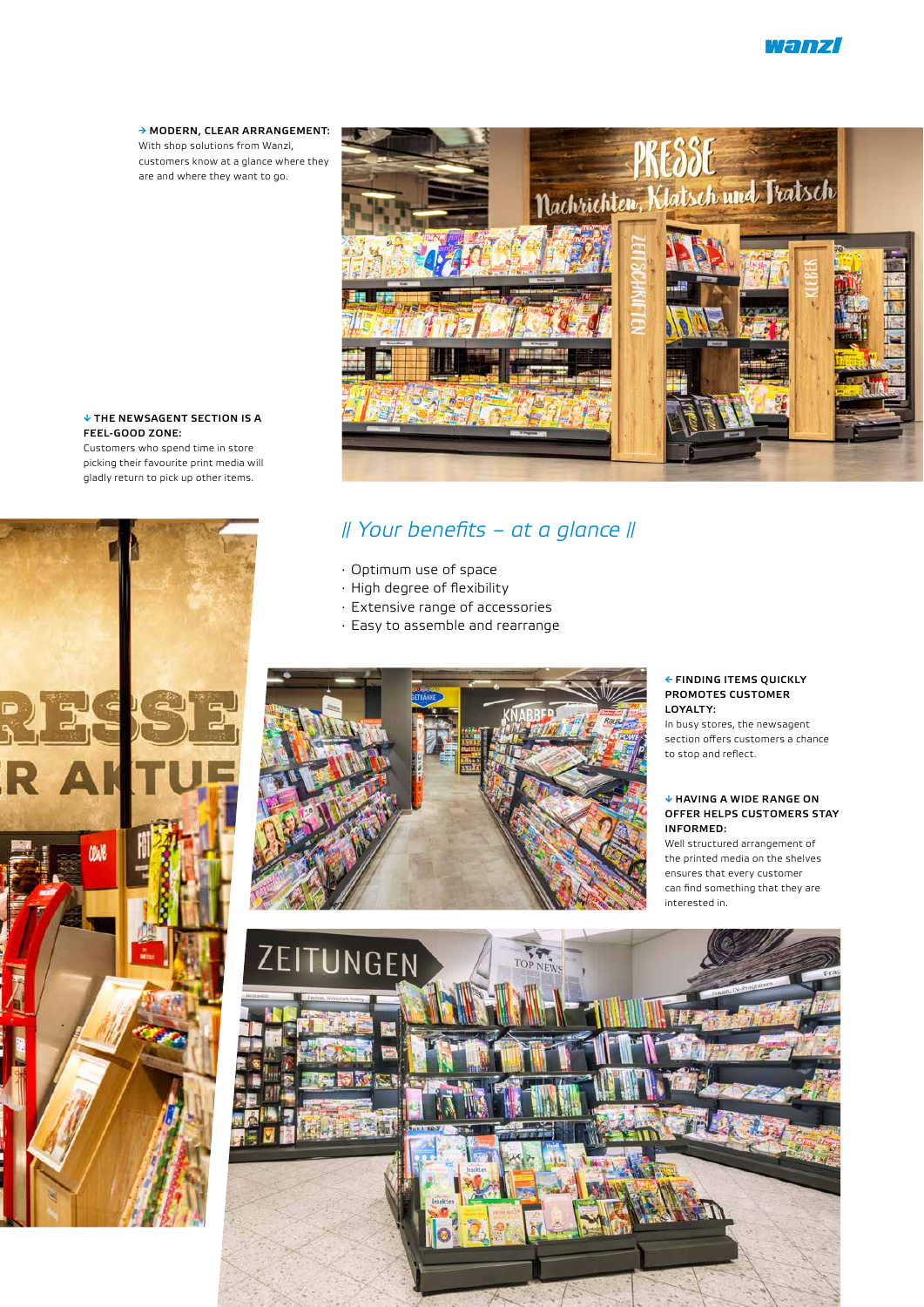→ MODERN, CLEAR ARRANGEMENT: With shop solutions from Wanzl, customers know at a glance where they are and where they want to go.



## *Your benefits – at a glance*

- · Optimum use of space
- · High degree of flexibility
- · Extensive range of accessories
- · Easy to assemble and rearrange



#### ← FINDING ITEMS QUICKLY PROMOTES CUSTOMER LOYALTY:

In busy stores, the newsagent section offers customers a chance to stop and reflect.

#### ↓ HAVING A WIDE RANGE ON OFFER HELPS CUSTOMERS STAY INFORMED:

Well structured arrangement of the printed media on the shelves ensures that every customer can find something that they are interested in.



### ↓ THE NEWSAGENT SECTION IS A FEEL-GOOD ZONE:

Customers who spend time in store picking their favourite print media will gladly return to pick up other items.